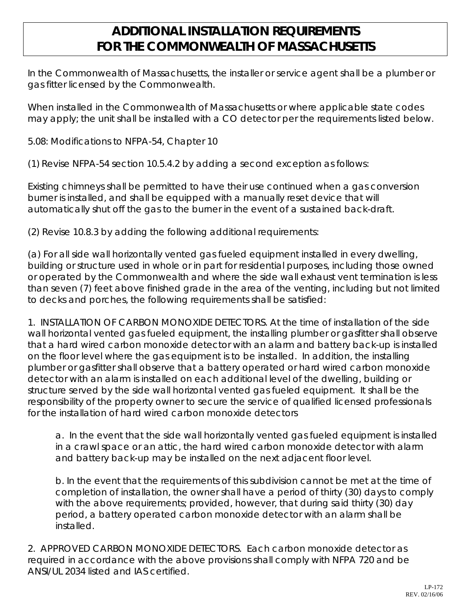## **ADDITIONAL INSTALLATION REQUIREMENTS FOR THE COMMONWEALTH OF MASSACHUSETTS**

In the Commonwealth of Massachusetts, the installer or service agent shall be a plumber or gas fitter licensed by the Commonwealth.

When installed in the Commonwealth of Massachusetts or where applicable state codes may apply; the unit shall be installed with a CO detector per the requirements listed below.

5.08: Modifications to NFPA-54, Chapter 10

(1) Revise NFPA-54 section 10.5.4.2 by adding a second exception as follows:

Existing chimneys shall be permitted to have their use continued when a gas conversion burner is installed, and shall be equipped with a manually reset device that will automatically shut off the gas to the burner in the event of a sustained back-draft.

(2) Revise 10.8.3 by adding the following additional requirements:

(a) For all side wall horizontally vented gas fueled equipment installed in every dwelling, building or structure used in whole or in part for residential purposes, including those owned or operated by the Commonwealth and where the side wall exhaust vent termination is less than seven (7) feet above finished grade in the area of the venting, including but not limited to decks and porches, the following requirements shall be satisfied:

1. INSTALLATION OF CARBON MONOXIDE DETECTORS. At the time of installation of the side wall horizontal vented gas fueled equipment, the installing plumber or gasfitter shall observe that a hard wired carbon monoxide detector with an alarm and battery back-up is installed on the floor level where the gas equipment is to be installed. In addition, the installing plumber or gasfitter shall observe that a battery operated or hard wired carbon monoxide detector with an alarm is installed on each additional level of the dwelling, building or structure served by the side wall horizontal vented gas fueled equipment. It shall be the responsibility of the property owner to secure the service of qualified licensed professionals for the installation of hard wired carbon monoxide detectors

a. In the event that the side wall horizontally vented gas fueled equipment is installed in a crawl space or an attic, the hard wired carbon monoxide detector with alarm and battery back-up may be installed on the next adjacent floor level.

b. In the event that the requirements of this subdivision cannot be met at the time of completion of installation, the owner shall have a period of thirty (30) days to comply with the above requirements; provided, however, that during said thirty (30) day period, a battery operated carbon monoxide detector with an alarm shall be installed.

2. APPROVED CARBON MONOXIDE DETECTORS. Each carbon monoxide detector as required in accordance with the above provisions shall comply with NFPA 720 and be ANSI/UL 2034 listed and IAS certified.